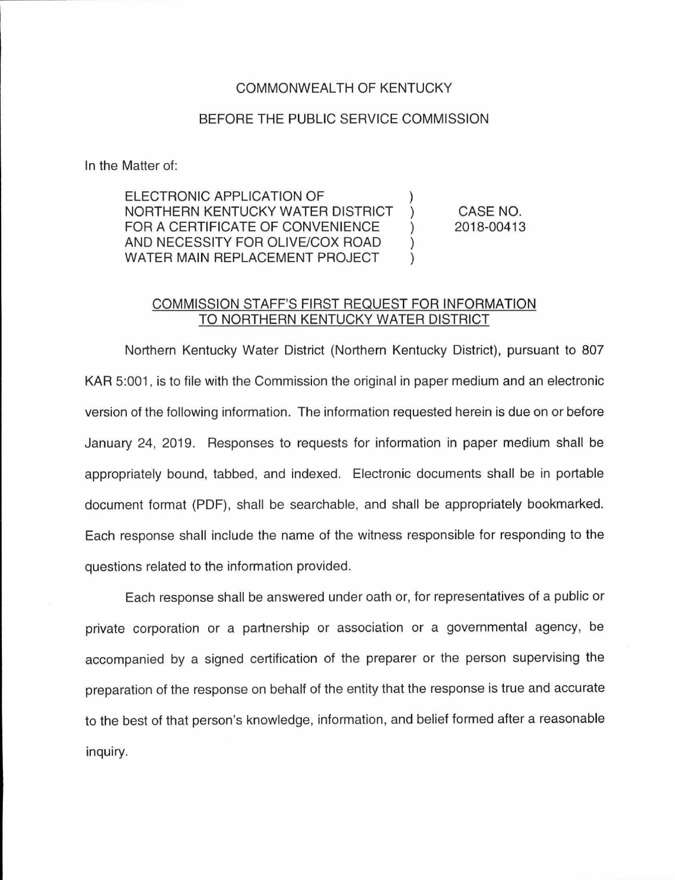## COMMONWEAL TH OF KENTUCKY

## BEFORE THE PUBLIC SERVICE COMMISSION

In the Matter of:

ELECTRONIC APPLICATION OF ) NORTHERN KENTUCKY WATER DISTRICT FOR A CERTIFICATE OF CONVENIENCE  $\qquad$  ) AND NECESSITY FOR OLIVE/COX ROAD ) WATER MAIN REPLACEMENT PROJECT )

CASE NO. 2018-00413

## COMMISSION STAFF'S FIRST REQUEST FOR INFORMATION TO NORTHERN KENTUCKY WATER DISTRICT

Northern Kentucky Water District (Northern Kentucky District), pursuant to 807 KAR 5:001, is to file with the Commission the original in paper medium and an electronic version of the following information. The information requested herein is due on or before January 24, 2019. Responses to requests for information in paper medium shall be appropriately bound, tabbed, and indexed. Electronic documents shall be in portable document format (PDF), shall be searchable, and shall be appropriately bookmarked. Each response shall include the name of the witness responsible for responding to the questions related to the information provided.

Each response shall be answered under oath or, for representatives of a public or private corporation or a partnership or association or a governmental agency, be accompanied by a signed certification of the preparer or the person supervising the preparation of the response on behalf of the entity that the response is true and accurate to the best of that person's knowledge, information, and belief formed after a reasonable inquiry.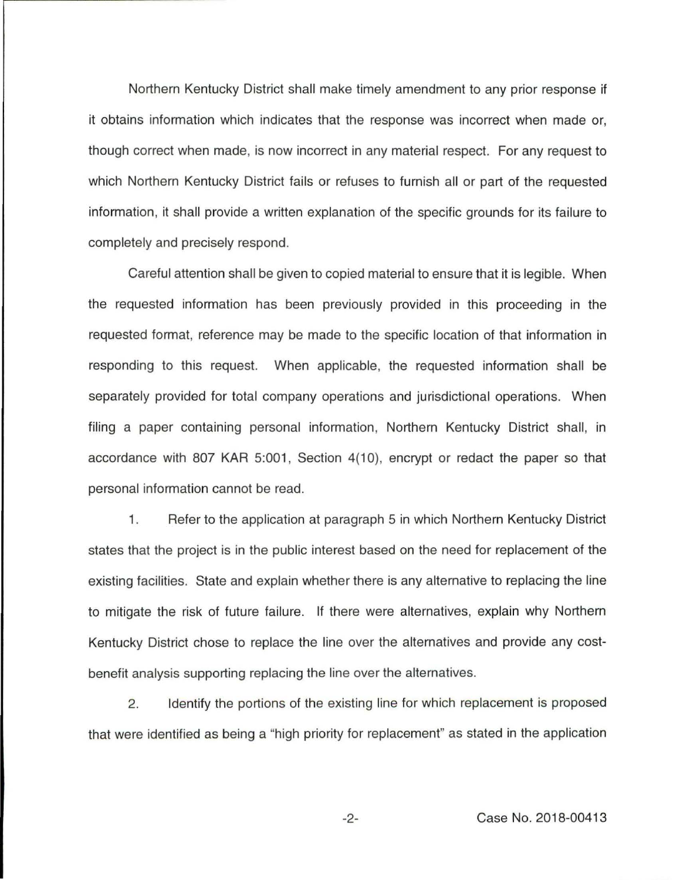Northern Kentucky District shall make timely amendment to any prior response if it obtains information which indicates that the response was incorrect when made or, though correct when made, is now incorrect in any material respect. For any request to which Northern Kentucky District fails or refuses to furnish all or part of the requested information, it shall provide a written explanation of the specific grounds for its failure to completely and precisely respond.

Careful attention shall be given to copied material to ensure that it is legible. When the requested information has been previously provided in this proceeding in the requested format, reference may be made to the specific location of that information in responding to this request. When applicable, the requested information shall be separately provided for total company operations and jurisdictional operations. When filing a paper containing personal information, Northern Kentucky District shall, in accordance with 807 KAR 5:001, Section 4(10), encrypt or redact the paper so that personal information cannot be read.

1. Refer to the application at paragraph 5 in which Northern Kentucky District states that the project is in the public interest based on the need for replacement of the existing facilities. State and explain whether there is any alternative to replacing the line to mitigate the risk of future failure. If there were alternatives, explain why Northern Kentucky District chose to replace the line over the alternatives and provide any costbenefit analysis supporting replacing the line over the alternatives.

2. Identify the portions of the existing line for which replacement is proposed that were identified as being a "high priority for replacement" as stated in the application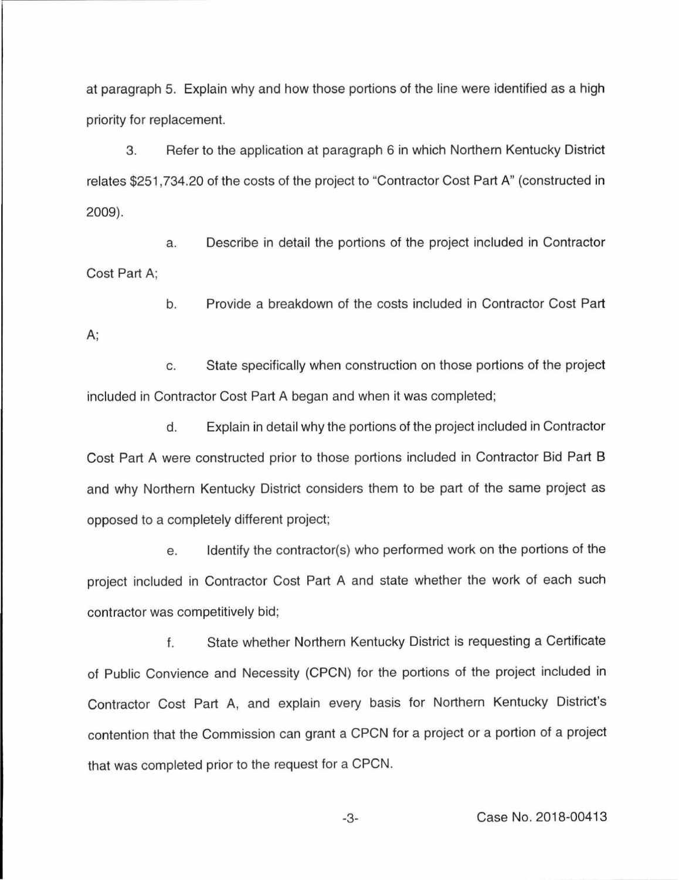at paragraph 5. Explain why and how those portions of the line were identified as a high priority for replacement.

3. Refer to the application at paragraph 6 in which Northern Kentucky District relates \$251,734.20 of the costs of the project to "Contractor Cost Part A" (constructed in 2009).

a. Describe in detail the portions of the project included in Contractor Cost Part A;

b. Provide a breakdown of the costs included in Contractor Cost Part

c. State specifically when construction on those portions of the project included in Contractor Cost Part A began and when it was completed;

A;

d. Explain in detail why the portions of the project included in Contractor Cost Part A were constructed prior to those portions included in Contractor Bid Part B and why Northern Kentucky District considers them to be part of the same project as opposed to a completely different project;

e. Identify the contractor(s) who performed work on the portions of the project included in Contractor Cost Part A and state whether the work of each such contractor was competitively bid;

f. State whether Northern Kentucky District is requesting a Certificate of Public Convience and Necessity (CPCN) for the portions of the project included in Contractor Cost Part A, and explain every basis for Northern Kentucky District's contention that the Commission can grant a CPCN for a project or a portion of a project that was completed prior to the request for a CPCN.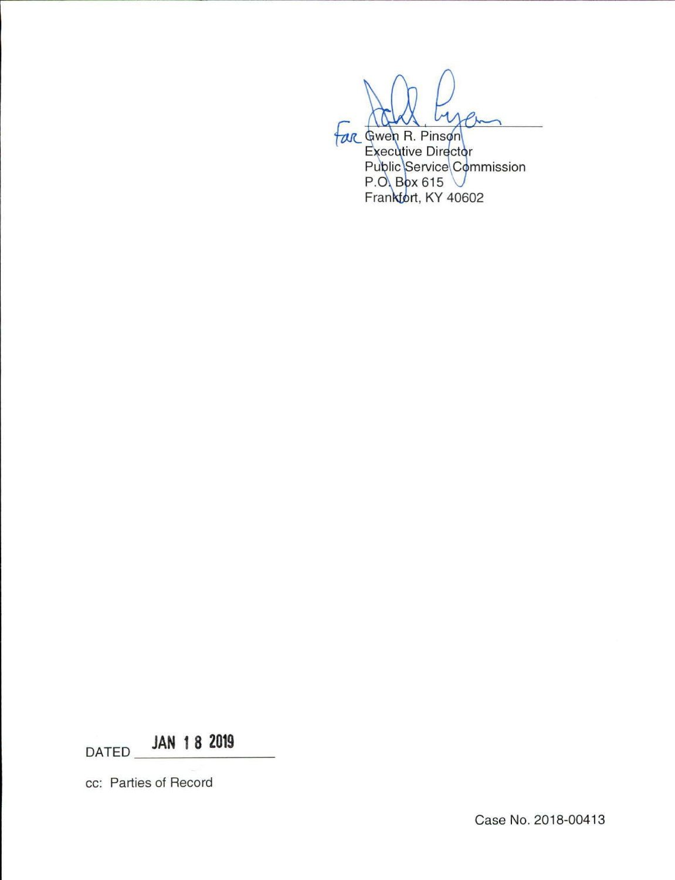far Gwen R. Pinson Executive Director<br>Public Service Commission<br>P.O. Box 615 Frankfort, KY 40602

DATED **JAN 1 8 2019** 

cc: Parties of Record